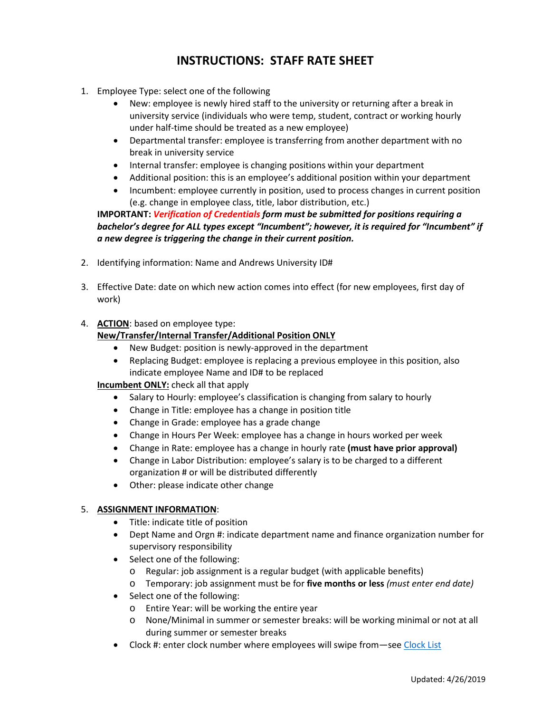## **INSTRUCTIONS: STAFF RATE SHEET**

- 1. Employee Type: select one of the following
	- New: employee is newly hired staff to the university or returning after a break in university service (individuals who were temp, student, contract or working hourly under half-time should be treated as a new employee)
	- Departmental transfer: employee is transferring from another department with no break in university service
	- Internal transfer: employee is changing positions within your department
	- Additional position: this is an employee's additional position within your department
	- Incumbent: employee currently in position, used to process changes in current position (e.g. change in employee class, title, labor distribution, etc.)

## **IMPORTANT:** *Verification of Credentials form must be submitted for positions requiring a bachelor's degree for ALL types except "Incumbent"; however, it is required for "Incumbent" if a new degree is triggering the change in their current position.*

- 2. Identifying information: Name and Andrews University ID#
- 3. Effective Date: date on which new action comes into effect (for new employees, first day of work)
- 4. **ACTION**: based on employee type: **New/Transfer/Internal Transfer/Additional Position ONLY**
	- New Budget: position is newly-approved in the department
	- Replacing Budget: employee is replacing a previous employee in this position, also indicate employee Name and ID# to be replaced

**Incumbent ONLY:** check all that apply

- Salary to Hourly: employee's classification is changing from salary to hourly
- Change in Title: employee has a change in position title
- Change in Grade: employee has a grade change
- Change in Hours Per Week: employee has a change in hours worked per week
- Change in Rate: employee has a change in hourly rate **(must have prior approval)**
- Change in Labor Distribution: employee's salary is to be charged to a different organization # or will be distributed differently
- Other: please indicate other change

## 5. **ASSIGNMENT INFORMATION**:

- Title: indicate title of position
- Dept Name and Orgn #: indicate department name and finance organization number for supervisory responsibility
- Select one of the following:
	- o Regular: job assignment is a regular budget (with applicable benefits)
	- o Temporary: job assignment must be for **five months or less** *(must enter end date)*
- Select one of the following:
	- o Entire Year: will be working the entire year
	- o None/Minimal in summer or semester breaks: will be working minimal or not at all during summer or semester breaks
- Clock #: enter clock number where employees will swipe from—see [Clock List](http://www.andrews.edu/services/hr/documents/payroll/clocklist.pdf)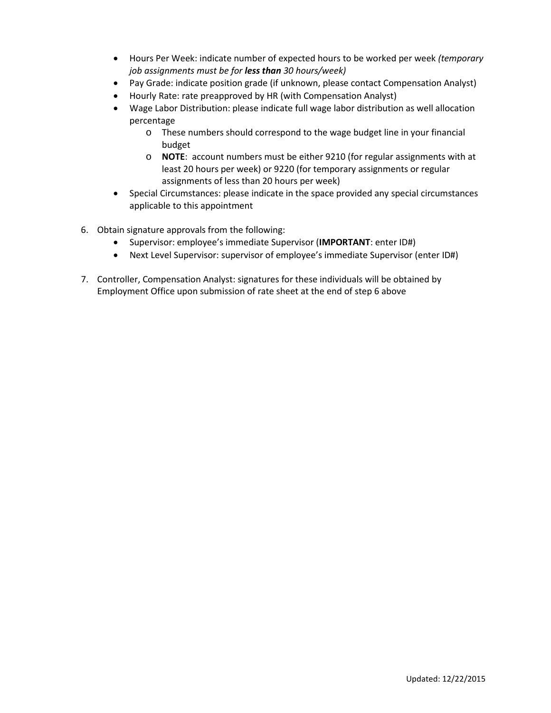- Hours Per Week: indicate number of expected hours to be worked per week *(temporary job assignments must be for less than 30 hours/week)*
- Pay Grade: indicate position grade (if unknown, please contact Compensation Analyst)
- Hourly Rate: rate preapproved by HR (with Compensation Analyst)
- Wage Labor Distribution: please indicate full wage labor distribution as well allocation percentage
	- o These numbers should correspond to the wage budget line in your financial budget
	- o **NOTE**: account numbers must be either 9210 (for regular assignments with at least 20 hours per week) or 9220 (for temporary assignments or regular assignments of less than 20 hours per week)
- Special Circumstances: please indicate in the space provided any special circumstances applicable to this appointment
- 6. Obtain signature approvals from the following:
	- Supervisor: employee's immediate Supervisor (**IMPORTANT**: enter ID#)
	- Next Level Supervisor: supervisor of employee's immediate Supervisor (enter ID#)
- 7. Controller, Compensation Analyst: signatures for these individuals will be obtained by Employment Office upon submission of rate sheet at the end of step 6 above